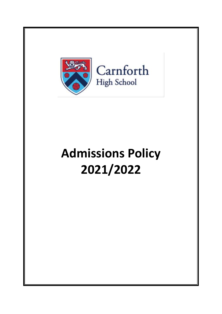

# **Admissions Policy 2021/2022**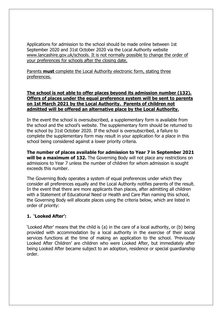Applications for admission to the school should be made online between 1st September 2020 and 31st October 2020 via the Local Authority website www.lancashire.gov.uk/schools. It is not normally possible to change the order of your preferences for schools after the closing date.

Parents **must** complete the Local Authority electronic form, stating three preferences.

### **The school is not able to offer places beyond its admission number (132). Offers of places under the equal preference system will be sent to parents on 1st March 2021 by the Local Authority. Parents of children not admitted will be offered an alternative place by the Local Authority.**

In the event the school is oversubscribed, a supplementary form is available from the school and the school's website. The supplementary form should be returned to the school by 31st October 2020. If the school is oversubscribed, a failure to complete the supplementary form may result in your application for a place in this school being considered against a lower priority criteria.

**The number of places available for admission to Year 7 in September 2021 will be a maximum of 132.** The Governing Body will not place any restrictions on admissions to Year 7 unless the number of children for whom admission is sought exceeds this number.

The Governing Body operates a system of equal preferences under which they consider all preferences equally and the Local Authority notifies parents of the result. In the event that there are more applicants than places, after admitting all children with a Statement of Educational Need or Health and Care Plan naming this school, the Governing Body will allocate places using the criteria below, which are listed in order of priority:

## **1. 'Looked After':**

'Looked After' means that the child is (a) in the care of a local authority, or (b) being provided with accommodation by a local authority in the exercise of their social services functions at the time of making an application to the school. 'Previously Looked After Children' are children who were Looked After, but immediately after being Looked After became subject to an adoption, residence or special guardianship order.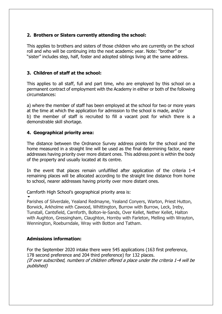## **2. Brothers or Sisters currently attending the school:**

This applies to brothers and sisters of those children who are currently on the school roll and who will be continuing into the next academic year. Note: "brother" or "sister" includes step, half, foster and adopted siblings living at the same address.

## **3. Children of staff at the school:**

This applies to all staff, full and part time, who are employed by this school on a permanent contract of employment with the Academy in either or both of the following circumstances:

a) where the member of staff has been employed at the school for two or more years at the time at which the application for admission to the school is made, and/or b) the member of staff is recruited to fill a vacant post for which there is a demonstrable skill shortage.

#### **4. Geographical priority area:**

The distance between the Ordnance Survey address points for the school and the home measured in a straight line will be used as the final determining factor, nearer addresses having priority over more distant ones. This address point is within the body of the property and usually located at its centre.

In the event that places remain unfulfilled after application of the criteria 1-4 remaining places will be allocated according to the straight line distance from home to school, nearer addresses having priority over more distant ones.

Carnforth High School's geographical priority area is:  $\blacktriangledown$ 

Parishes of Silverdale, Yealand Redmayne, Yealand Conyers, Warton, Priest Hutton, Borwick, Arkholme with Cawood, Whittington, Burrow with Burrow, Leck, Ireby, Tunstall, Cantsfield, Carnforth, Bolton-le-Sands, Over Kellet, Nether Kellet, Halton with Aughton, Gressingham, Claughton, Hornby with Farleton, Melling with Wrayton, Wennington, Roeburndale, Wray with Botton and Tatham.

## **Admissions information:**

For the September 2020 intake there were 545 applications (163 first preference, 178 second preference and 204 third preference) for 132 places. (If over subscribed, numbers of children offered a place under the criteria 1-4 will be published)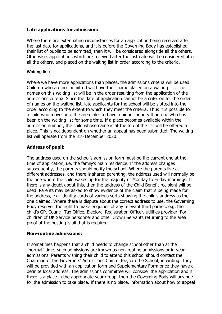### **Late applications for admission:**

Where there are extenuating circumstances for an application being received after the last date for applications, and it is before the Governing Body has established their list of pupils to be admitted, then it will be considered alongside all the others. Otherwise, applications which are received after the last date will be considered after all the others, and placed on the waiting list in order according to the criteria.

#### **Waiting list:**

Where we have more applications than places, the admissions criteria will be used. Children who are not admitted will have their name placed on a waiting list. The names on this waiting list will be in the order resulting from the application of the admissions criteria. Since the date of application cannot be a criterion for the order of names on the waiting list, late applicants for the school will be slotted into the order according to the extent to which they meet the criteria. Thus it is possible for a child who moves into the area later to have a higher priority than one who has been on the waiting list for some time. If a place becomes available within the admission number, the child whose name is at the top of the list will be offered a place. This is not dependent on whether an appeal has been submitted. The waiting list will operate from the  $31<sup>st</sup>$  December 2020.

## **Address of pupil:**

The address used on the school's admission form must be the current one at the time of application, i.e. the family's main residence. If the address changes subsequently, the parents should notify the school. Where the parents live at different addresses, and there is shared parenting, the address used will normally be the one where the child wakes up for the majority of Monday to Friday mornings. If there is any doubt about this, then the address of the Child Benefit recipient will be used. Parents may be asked to show evidence of the claim that is being made for the address, e.g. identity cards of various sorts showing the child's address as the one claimed. Where there is dispute about the correct address to use, the Governing Body reserves the right to make enquiries of any relevant third parties, e.g. the child's GP, Council Tax Office, Electoral Registration Officer, utilities provider. For children of UK Service personnel and other Crown Servants returning to the area proof of the posting is all that is required.

#### **Non-routine admissions:**

It sometimes happens that a child needs to change school other than at the "normal" time; such admissions are known as non-routine admissions or in-year admissions. Parents wishing their child to attend this school should contact the Chairman of the Governors' Admissions Committee, c/o the School, in writing. They will be provided with an application form and Supplementary Form once they have a definite local address. The admissions committee will consider the application and if there is a place in the appropriate year group, then the Governing Body will arrange for the admission to take place. If there is no place, information about how to appeal